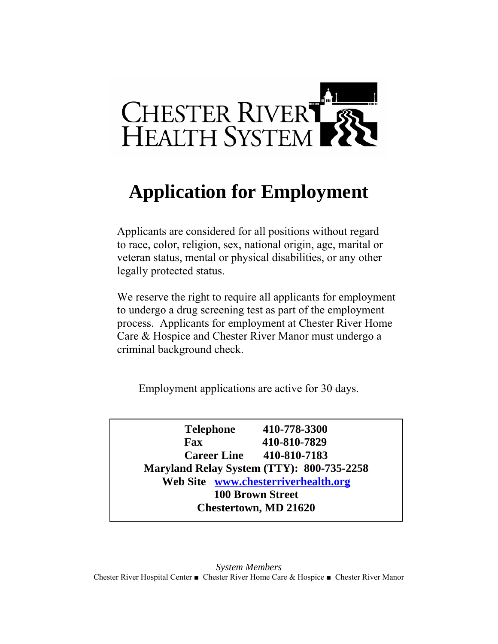

# **Application for Employment**

Applicants are considered for all positions without regard to race, color, religion, sex, national origin, age, marital or veteran status, mental or physical disabilities, or any other legally protected status.

We reserve the right to require all applicants for employment to undergo a drug screening test as part of the employment process. Applicants for employment at Chester River Home Care & Hospice and Chester River Manor must undergo a criminal background check.

Employment applications are active for 30 days.

**Telephone 410-778-3300 Fax 410-810-7829 Career Line 410-810-7183 Maryland Relay System (TTY): 800-735-2258 Web Site www.chesterriverhealth.org 100 Brown Street Chestertown, MD 21620**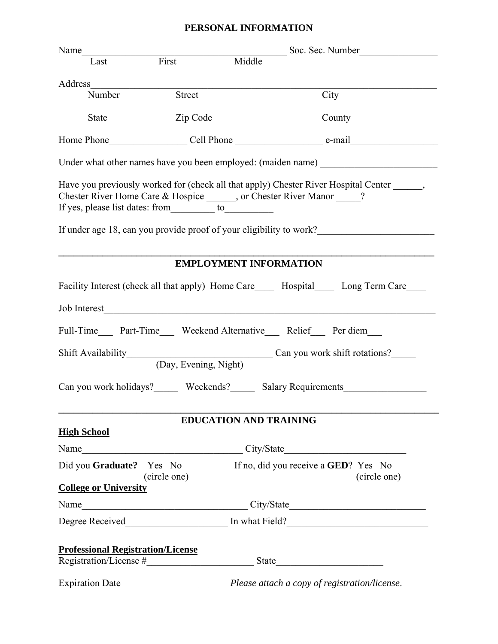## **PERSONAL INFORMATION**

|                                          | Name<br>Soc. Sec. Number |                               |                                                                                                                                                                                                                                              |  |  |
|------------------------------------------|--------------------------|-------------------------------|----------------------------------------------------------------------------------------------------------------------------------------------------------------------------------------------------------------------------------------------|--|--|
| Last                                     | First                    | Middle                        |                                                                                                                                                                                                                                              |  |  |
|                                          |                          |                               |                                                                                                                                                                                                                                              |  |  |
| Number                                   | Street                   |                               | City                                                                                                                                                                                                                                         |  |  |
| State                                    | Zip Code                 |                               | County                                                                                                                                                                                                                                       |  |  |
|                                          |                          |                               |                                                                                                                                                                                                                                              |  |  |
|                                          |                          |                               | Under what other names have you been employed: (maiden name) ____________________                                                                                                                                                            |  |  |
|                                          |                          |                               | Have you previously worked for (check all that apply) Chester River Hospital Center ______,<br>Chester River Home Care & Hospice ______, or Chester River Manor ____?<br>If under age 18, can you provide proof of your eligibility to work? |  |  |
|                                          |                          | <b>EMPLOYMENT INFORMATION</b> |                                                                                                                                                                                                                                              |  |  |
|                                          |                          |                               | Facility Interest (check all that apply) Home Care_____ Hospital______ Long Term Care____                                                                                                                                                    |  |  |
|                                          |                          |                               |                                                                                                                                                                                                                                              |  |  |
| Job Interest                             |                          |                               |                                                                                                                                                                                                                                              |  |  |
|                                          |                          |                               | Full-Time____ Part-Time____ Weekend Alternative____ Relief____ Per diem____                                                                                                                                                                  |  |  |
|                                          |                          |                               | Shift Availability Can you work shift rotations?                                                                                                                                                                                             |  |  |
|                                          |                          |                               | Can you work holidays? _______ Weekends? _______ Salary Requirements ___________                                                                                                                                                             |  |  |
|                                          |                          | <b>EDUCATION AND TRAINING</b> |                                                                                                                                                                                                                                              |  |  |
| <b>High School</b>                       |                          |                               |                                                                                                                                                                                                                                              |  |  |
|                                          |                          |                               |                                                                                                                                                                                                                                              |  |  |
| Did you Graduate? Yes No                 | (circle one)             |                               | If no, did you receive a <b>GED</b> ? Yes No<br>(circle one)                                                                                                                                                                                 |  |  |
| <b>College or University</b>             |                          |                               |                                                                                                                                                                                                                                              |  |  |
|                                          |                          |                               |                                                                                                                                                                                                                                              |  |  |
|                                          |                          |                               |                                                                                                                                                                                                                                              |  |  |
| <b>Professional Registration/License</b> |                          |                               |                                                                                                                                                                                                                                              |  |  |
|                                          |                          |                               |                                                                                                                                                                                                                                              |  |  |
|                                          |                          |                               |                                                                                                                                                                                                                                              |  |  |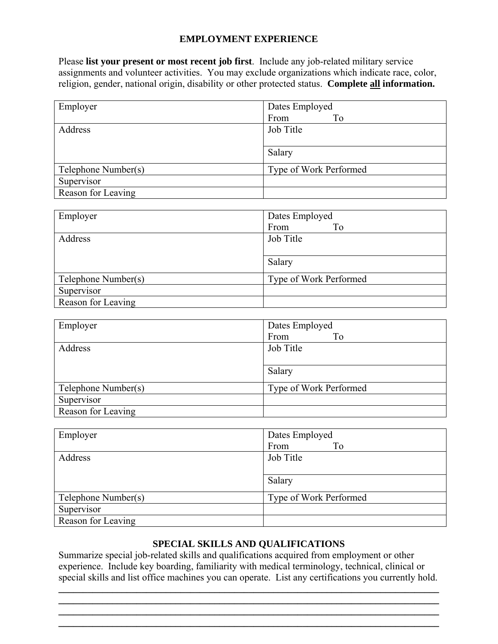### **EMPLOYMENT EXPERIENCE**

Please **list your present or most recent job first**. Include any job-related military service assignments and volunteer activities. You may exclude organizations which indicate race, color, religion, gender, national origin, disability or other protected status. **Complete all information.** 

| Employer            | Dates Employed         |  |
|---------------------|------------------------|--|
|                     | From<br>To             |  |
| Address             | Job Title              |  |
|                     |                        |  |
|                     | Salary                 |  |
| Telephone Number(s) | Type of Work Performed |  |
| Supervisor          |                        |  |
| Reason for Leaving  |                        |  |

| Employer            | Dates Employed         |  |
|---------------------|------------------------|--|
|                     | From<br>To             |  |
| Address             | Job Title              |  |
|                     |                        |  |
|                     | Salary                 |  |
| Telephone Number(s) | Type of Work Performed |  |
| Supervisor          |                        |  |
| Reason for Leaving  |                        |  |

| Employer            | Dates Employed         |  |
|---------------------|------------------------|--|
|                     | To<br>From             |  |
| Address             | Job Title              |  |
|                     |                        |  |
|                     | Salary                 |  |
| Telephone Number(s) | Type of Work Performed |  |
| Supervisor          |                        |  |
| Reason for Leaving  |                        |  |

| Employer            | Dates Employed         |  |
|---------------------|------------------------|--|
|                     | From<br>To             |  |
| Address             | Job Title              |  |
|                     |                        |  |
|                     | Salary                 |  |
| Telephone Number(s) | Type of Work Performed |  |
| Supervisor          |                        |  |
| Reason for Leaving  |                        |  |

#### **SPECIAL SKILLS AND QUALIFICATIONS**

Summarize special job-related skills and qualifications acquired from employment or other experience. Include key boarding, familiarity with medical terminology, technical, clinical or special skills and list office machines you can operate. List any certifications you currently hold.

**\_\_\_\_\_\_\_\_\_\_\_\_\_\_\_\_\_\_\_\_\_\_\_\_\_\_\_\_\_\_\_\_\_\_\_\_\_\_\_\_\_\_\_\_\_\_\_\_\_\_\_\_\_\_\_\_\_\_\_\_\_\_\_\_\_\_\_\_\_\_\_\_\_\_\_\_\_\_**

**\_\_\_\_\_\_\_\_\_\_\_\_\_\_\_\_\_\_\_\_\_\_\_\_\_\_\_\_\_\_\_\_\_\_\_\_\_\_\_\_\_\_\_\_\_\_\_\_\_\_\_\_\_\_\_\_\_\_\_\_\_\_\_\_\_\_\_\_\_\_\_\_\_\_\_\_\_\_ \_\_\_\_\_\_\_\_\_\_\_\_\_\_\_\_\_\_\_\_\_\_\_\_\_\_\_\_\_\_\_\_\_\_\_\_\_\_\_\_\_\_\_\_\_\_\_\_\_\_\_\_\_\_\_\_\_\_\_\_\_\_\_\_\_\_\_\_\_\_\_\_\_\_\_\_\_\_**